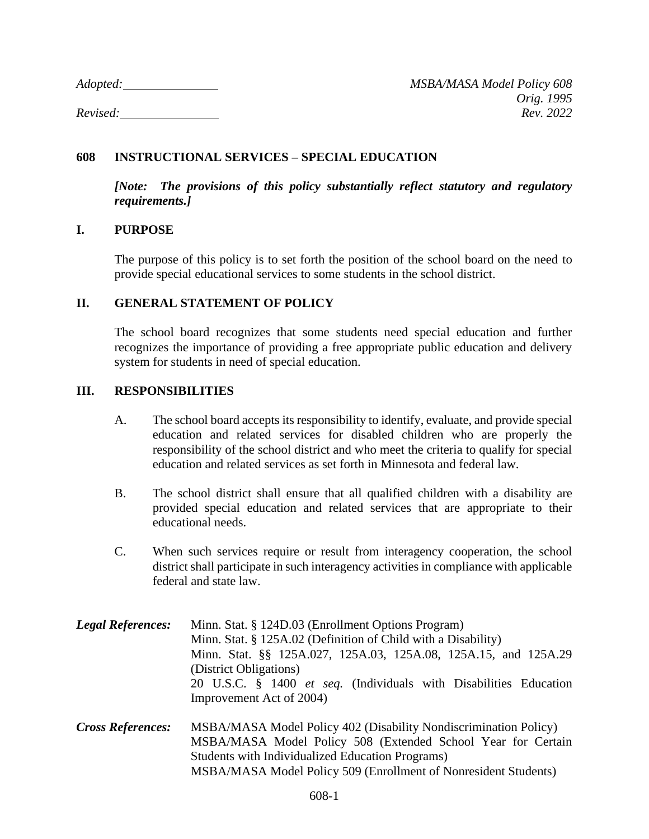*Adopted: MSBA/MASA Model Policy 608 Orig. 1995 Revised: Rev. 2022*

## **608 INSTRUCTIONAL SERVICES – SPECIAL EDUCATION**

*[Note: The provisions of this policy substantially reflect statutory and regulatory requirements.]*

## **I. PURPOSE**

The purpose of this policy is to set forth the position of the school board on the need to provide special educational services to some students in the school district.

## **II. GENERAL STATEMENT OF POLICY**

The school board recognizes that some students need special education and further recognizes the importance of providing a free appropriate public education and delivery system for students in need of special education.

## **III. RESPONSIBILITIES**

- A. The school board accepts its responsibility to identify, evaluate, and provide special education and related services for disabled children who are properly the responsibility of the school district and who meet the criteria to qualify for special education and related services as set forth in Minnesota and federal law.
- B. The school district shall ensure that all qualified children with a disability are provided special education and related services that are appropriate to their educational needs.
- C. When such services require or result from interagency cooperation, the school district shall participate in such interagency activities in compliance with applicable federal and state law.
- *Legal References:* Minn. Stat. § 124D.03 (Enrollment Options Program) Minn. Stat. § 125A.02 (Definition of Child with a Disability) Minn. Stat. §§ 125A.027, 125A.03, 125A.08, 125A.15, and 125A.29 (District Obligations) 20 U.S.C. § 1400 *et seq.* (Individuals with Disabilities Education Improvement Act of 2004)
- *Cross References:* MSBA/MASA Model Policy 402 (Disability Nondiscrimination Policy) MSBA/MASA Model Policy 508 (Extended School Year for Certain Students with Individualized Education Programs) MSBA/MASA Model Policy 509 (Enrollment of Nonresident Students)